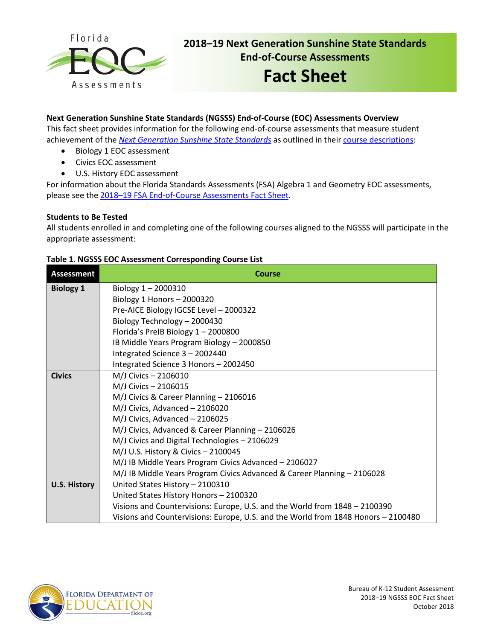

# **2018–19 Next Generation Sunshine State Standards End-of-Course Assessments**

# **Fact Sheet**

# **Next Generation Sunshine State Standards (NGSSS) End-of-Course (EOC) Assessments Overview**

This fact sheet provides information for the following end-of-course assessments that measure student achievement of the *[Next Generation Sunshine State Standards](http://www.floridastandards.org/index.aspx)* as outlined in their [course descriptions:](http://www.cpalms.org/Public/search/Course#0)

- Biology 1 EOC assessment
- Civics EOC assessment
- U.S. History EOC assessment

For information about the Florida Standards Assessments (FSA) Algebra 1 and Geometry EOC assessments, please see the [2018–19 FSA End-of-Course Assessments Fact Sheet.](http://www.fldoe.org/core/fileparse.php/5663/urlt/FSAEOCFS1819.pdf)

## **Students to Be Tested**

All students enrolled in and completing one of the following courses aligned to the NGSSS will participate in the appropriate assessment:

| <b>Assessment</b>   | <b>Course</b>                                                                     |  |  |  |
|---------------------|-----------------------------------------------------------------------------------|--|--|--|
| <b>Biology 1</b>    | Biology $1 - 2000310$                                                             |  |  |  |
|                     | Biology 1 Honors $-2000320$                                                       |  |  |  |
|                     | Pre-AICE Biology IGCSE Level - 2000322                                            |  |  |  |
|                     | Biology Technology - 2000430                                                      |  |  |  |
|                     | Florida's PreIB Biology 1-2000800                                                 |  |  |  |
|                     | IB Middle Years Program Biology - 2000850                                         |  |  |  |
|                     | Integrated Science 3 - 2002440                                                    |  |  |  |
|                     | Integrated Science 3 Honors - 2002450                                             |  |  |  |
| <b>Civics</b>       | M/J Civics - 2106010                                                              |  |  |  |
|                     | M/J Civics - 2106015                                                              |  |  |  |
|                     | M/J Civics & Career Planning - 2106016                                            |  |  |  |
|                     | M/J Civics, Advanced - 2106020                                                    |  |  |  |
|                     | M/J Civics, Advanced - 2106025                                                    |  |  |  |
|                     | M/J Civics, Advanced & Career Planning - 2106026                                  |  |  |  |
|                     | M/J Civics and Digital Technologies - 2106029                                     |  |  |  |
|                     | M/J U.S. History & Civics - 2100045                                               |  |  |  |
|                     | M/J IB Middle Years Program Civics Advanced - 2106027                             |  |  |  |
|                     | M/J IB Middle Years Program Civics Advanced & Career Planning - 2106028           |  |  |  |
| <b>U.S. History</b> | United States History - 2100310                                                   |  |  |  |
|                     | United States History Honors - 2100320                                            |  |  |  |
|                     | Visions and Countervisions: Europe, U.S. and the World from 1848 - 2100390        |  |  |  |
|                     | Visions and Countervisions: Europe, U.S. and the World from 1848 Honors - 2100480 |  |  |  |

#### **Table 1. NGSSS EOC Assessment Corresponding Course List**

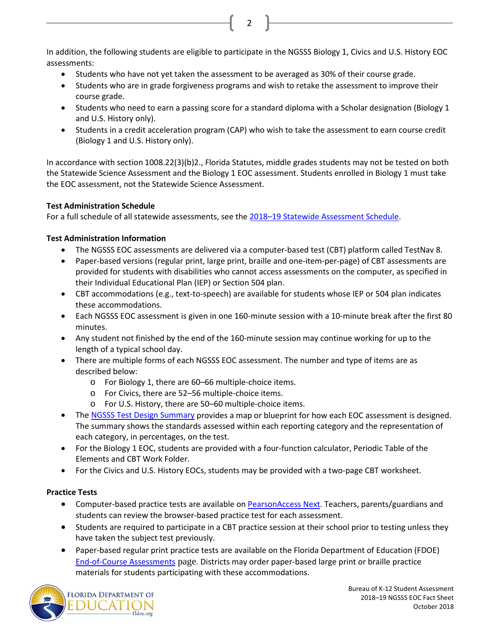In addition, the following students are eligible to participate in the NGSSS Biology 1, Civics and U.S. History EOC assessments:

2

- Students who have not yet taken the assessment to be averaged as 30% of their course grade.
- Students who are in grade forgiveness programs and wish to retake the assessment to improve their course grade.
- Students who need to earn a passing score for a standard diploma with a Scholar designation (Biology 1 and U.S. History only).
- Students in a credit acceleration program (CAP) who wish to take the assessment to earn course credit (Biology 1 and U.S. History only).

In accordance with section 1008.22(3)(b)2., Florida Statutes, middle grades students may not be tested on both the Statewide Science Assessment and the Biology 1 EOC assessment. Students enrolled in Biology 1 must take the EOC assessment, not the Statewide Science Assessment.

# **Test Administration Schedule**

For a full schedule of all statewide assessments, see the [2018–19 Statewide Assessment Schedule.](http://www.fldoe.org/accountability/assessments/k-12-student-assessment/assessment-schedules.stml)

# **Test Administration Information**

- The NGSSS EOC assessments are delivered via a computer-based test (CBT) platform called TestNav 8.
- Paper-based versions (regular print, large print, braille and one-item-per-page) of CBT assessments are provided for students with disabilities who cannot access assessments on the computer, as specified in their Individual Educational Plan (IEP) or Section 504 plan.
- CBT accommodations (e.g., text-to-speech) are available for students whose IEP or 504 plan indicates these accommodations.
- Each NGSSS EOC assessment is given in one 160-minute session with a 10-minute break after the first 80 minutes.
- Any student not finished by the end of the 160-minute session may continue working for up to the length of a typical school day.
- There are multiple forms of each NGSSS EOC assessment. The number and type of items are as described below:
	- o For Biology 1, there are 60–66 multiple-choice items.
	- o For Civics, there are 52–56 multiple-choice items.
	- o For U.S. History, there are 50–60 multiple-choice items.
- Th[e NGSSS Test Design Summary](http://www.fldoe.org/core/fileparse.php/5662/urlt/NGSSS_TestDesignSummary_Final.pdf) provides a map or blueprint for how each EOC assessment is designed. The summary shows the standards assessed within each reporting category and the representation of each category, in percentages, on the test.
- For the Biology 1 EOC, students are provided with a four-function calculator, Periodic Table of the Elements and CBT Work Folder.
- For the Civics and U.S. History EOCs, students may be provided with a two-page CBT worksheet.

# **Practice Tests**

- Computer-based practice tests are available o[n PearsonAccess Next.](http://download.pearsonaccessnext.com/fl/fl-practicetest.html?links=true) Teachers, parents/guardians and students can review the browser-based practice test for each assessment.
- Students are required to participate in a CBT practice session at their school prior to testing unless they have taken the subject test previously.
- Paper-based regular print practice tests are available on the Florida Department of Education (FDOE) [End-of-Course Assessments](http://www.fldoe.org/accountability/assessments/k-12-student-assessment/end-of-course-eoc-assessments/) page. Districts may order paper-based large print or braille practice materials for students participating with these accommodations.